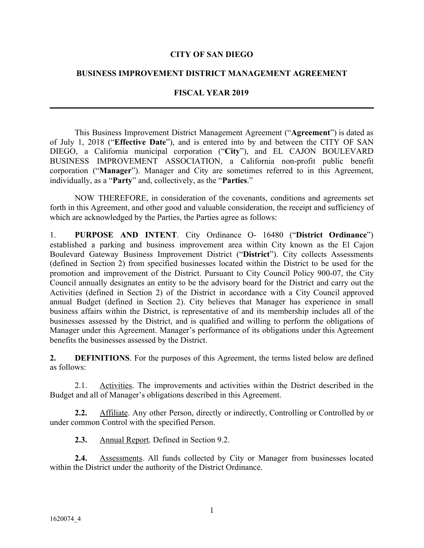### **CITY OF SAN DIEGO**

#### **BUSINESS IMPROVEMENT DISTRICT MANAGEMENT AGREEMENT**

#### **FISCAL YEAR 2019**

This Business Improvement District Management Agreement ("**Agreement**") is dated as of July 1, 2018 ("**Effective Date**"), and is entered into by and between the CITY OF SAN DIEGO, a California municipal corporation ("**City**"), and EL CAJON BOULEVARD BUSINESS IMPROVEMENT ASSOCIATION, a California non-profit public benefit corporation ("**Manager**"). Manager and City are sometimes referred to in this Agreement, individually, as a "**Party**" and, collectively, as the "**Parties**."

NOW THEREFORE, in consideration of the covenants, conditions and agreements set forth in this Agreement, and other good and valuable consideration, the receipt and sufficiency of which are acknowledged by the Parties, the Parties agree as follows:

1. **PURPOSE AND INTENT**. City Ordinance O- 16480 ("**District Ordinance**") established a parking and business improvement area within City known as the El Cajon Boulevard Gateway Business Improvement District ("**District**"). City collects Assessments (defined in Section 2) from specified businesses located within the District to be used for the promotion and improvement of the District. Pursuant to City Council Policy 900-07, the City Council annually designates an entity to be the advisory board for the District and carry out the Activities (defined in Section 2) of the District in accordance with a City Council approved annual Budget (defined in Section 2). City believes that Manager has experience in small business affairs within the District, is representative of and its membership includes all of the businesses assessed by the District, and is qualified and willing to perform the obligations of Manager under this Agreement. Manager's performance of its obligations under this Agreement benefits the businesses assessed by the District.

**2. DEFINITIONS**. For the purposes of this Agreement, the terms listed below are defined as follows:

2.1. Activities. The improvements and activities within the District described in the Budget and all of Manager's obligations described in this Agreement.

**2.2.** Affiliate. Any other Person, directly or indirectly, Controlling or Controlled by or under common Control with the specified Person.

**2.3.** Annual Report. Defined in Section 9.2.

**2.4.** Assessments. All funds collected by City or Manager from businesses located within the District under the authority of the District Ordinance.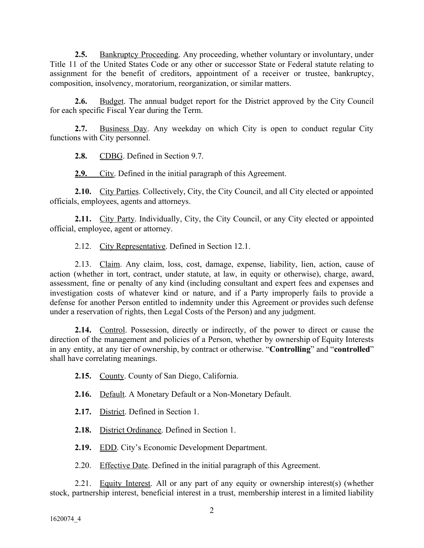**2.5.** Bankruptcy Proceeding. Any proceeding, whether voluntary or involuntary, under Title 11 of the United States Code or any other or successor State or Federal statute relating to assignment for the benefit of creditors, appointment of a receiver or trustee, bankruptcy, composition, insolvency, moratorium, reorganization, or similar matters.

**2.6.** Budget. The annual budget report for the District approved by the City Council for each specific Fiscal Year during the Term.

**2.7.** Business Day. Any weekday on which City is open to conduct regular City functions with City personnel.

**2.8.** CDBG. Defined in Section 9.7.

**2.9.** City. Defined in the initial paragraph of this Agreement.

2.10. City Parties. Collectively, City, the City Council, and all City elected or appointed officials, employees, agents and attorneys.

2.11. City Party. Individually, City, the City Council, or any City elected or appointed official, employee, agent or attorney.

2.12. City Representative. Defined in Section 12.1.

2.13. Claim. Any claim, loss, cost, damage, expense, liability, lien, action, cause of action (whether in tort, contract, under statute, at law, in equity or otherwise), charge, award, assessment, fine or penalty of any kind (including consultant and expert fees and expenses and investigation costs of whatever kind or nature, and if a Party improperly fails to provide a defense for another Person entitled to indemnity under this Agreement or provides such defense under a reservation of rights, then Legal Costs of the Person) and any judgment.

**2.14.** Control. Possession, directly or indirectly, of the power to direct or cause the direction of the management and policies of a Person, whether by ownership of Equity Interests in any entity, at any tier of ownership, by contract or otherwise. "**Controlling**" and "**controlled**" shall have correlating meanings.

**2.15.** County. County of San Diego, California.

**2.16.** Default. A Monetary Default or a Non-Monetary Default.

**2.17.** District. Defined in Section 1.

**2.18.** District Ordinance. Defined in Section 1.

**2.19.** EDD. City's Economic Development Department.

2.20. Effective Date. Defined in the initial paragraph of this Agreement.

2.21. Equity Interest. All or any part of any equity or ownership interest(s) (whether stock, partnership interest, beneficial interest in a trust, membership interest in a limited liability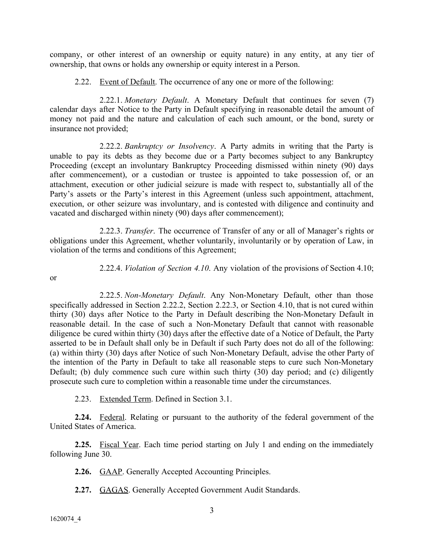company, or other interest of an ownership or equity nature) in any entity, at any tier of ownership, that owns or holds any ownership or equity interest in a Person.

2.22. Event of Default. The occurrence of any one or more of the following:

2.22.1. *Monetary Default*. A Monetary Default that continues for seven (7) calendar days after Notice to the Party in Default specifying in reasonable detail the amount of money not paid and the nature and calculation of each such amount, or the bond, surety or insurance not provided;

2.22.2. *Bankruptcy or Insolvency*. A Party admits in writing that the Party is unable to pay its debts as they become due or a Party becomes subject to any Bankruptcy Proceeding (except an involuntary Bankruptcy Proceeding dismissed within ninety (90) days after commencement), or a custodian or trustee is appointed to take possession of, or an attachment, execution or other judicial seizure is made with respect to, substantially all of the Party's assets or the Party's interest in this Agreement (unless such appointment, attachment, execution, or other seizure was involuntary, and is contested with diligence and continuity and vacated and discharged within ninety (90) days after commencement);

2.22.3. *Transfer*. The occurrence of Transfer of any or all of Manager's rights or obligations under this Agreement, whether voluntarily, involuntarily or by operation of Law, in violation of the terms and conditions of this Agreement;

or

2.22.4. *Violation of Section 4.10*. Any violation of the provisions of Section 4.10;

2.22.5. *Non-Monetary Default*. Any Non-Monetary Default, other than those specifically addressed in Section 2.22.2, Section 2.22.3, or Section 4.10, that is not cured within thirty (30) days after Notice to the Party in Default describing the Non-Monetary Default in reasonable detail. In the case of such a Non-Monetary Default that cannot with reasonable diligence be cured within thirty (30) days after the effective date of a Notice of Default, the Party asserted to be in Default shall only be in Default if such Party does not do all of the following: (a) within thirty (30) days after Notice of such Non-Monetary Default, advise the other Party of the intention of the Party in Default to take all reasonable steps to cure such Non-Monetary Default; (b) duly commence such cure within such thirty (30) day period; and (c) diligently prosecute such cure to completion within a reasonable time under the circumstances.

2.23. Extended Term. Defined in Section 3.1.

**2.24.** Federal. Relating or pursuant to the authority of the federal government of the United States of America.

**2.25.** Fiscal Year. Each time period starting on July 1 and ending on the immediately following June 30.

**2.26.** GAAP. Generally Accepted Accounting Principles.

**2.27.** GAGAS. Generally Accepted Government Audit Standards.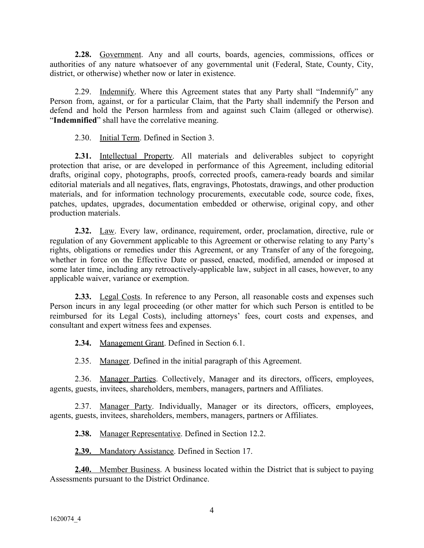**2.28.** Government. Any and all courts, boards, agencies, commissions, offices or authorities of any nature whatsoever of any governmental unit (Federal, State, County, City, district, or otherwise) whether now or later in existence.

2.29. Indemnify. Where this Agreement states that any Party shall "Indemnify" any Person from, against, or for a particular Claim, that the Party shall indemnify the Person and defend and hold the Person harmless from and against such Claim (alleged or otherwise). "**Indemnified**" shall have the correlative meaning.

2.30. Initial Term. Defined in Section 3.

**2.31.** Intellectual Property. All materials and deliverables subject to copyright protection that arise, or are developed in performance of this Agreement, including editorial drafts, original copy, photographs, proofs, corrected proofs, camera-ready boards and similar editorial materials and all negatives, flats, engravings, Photostats, drawings, and other production materials, and for information technology procurements, executable code, source code, fixes, patches, updates, upgrades, documentation embedded or otherwise, original copy, and other production materials.

**2.32.** Law. Every law, ordinance, requirement, order, proclamation, directive, rule or regulation of any Government applicable to this Agreement or otherwise relating to any Party's rights, obligations or remedies under this Agreement, or any Transfer of any of the foregoing, whether in force on the Effective Date or passed, enacted, modified, amended or imposed at some later time, including any retroactively-applicable law, subject in all cases, however, to any applicable waiver, variance or exemption.

**2.33.** Legal Costs. In reference to any Person, all reasonable costs and expenses such Person incurs in any legal proceeding (or other matter for which such Person is entitled to be reimbursed for its Legal Costs), including attorneys' fees, court costs and expenses, and consultant and expert witness fees and expenses.

**2.34.** Management Grant. Defined in Section 6.1.

2.35. Manager. Defined in the initial paragraph of this Agreement.

2.36. Manager Parties. Collectively, Manager and its directors, officers, employees, agents, guests, invitees, shareholders, members, managers, partners and Affiliates.

2.37. Manager Party. Individually, Manager or its directors, officers, employees, agents, guests, invitees, shareholders, members, managers, partners or Affiliates.

**2.38.** Manager Representative. Defined in Section 12.2.

**2.39.** Mandatory Assistance. Defined in Section 17.

**2.40.** Member Business. A business located within the District that is subject to paying Assessments pursuant to the District Ordinance.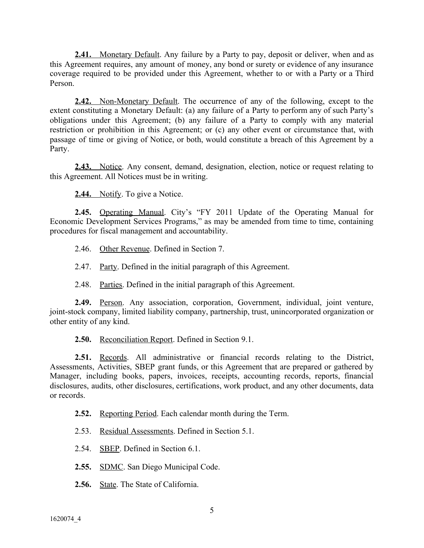**2.41.** Monetary Default. Any failure by a Party to pay, deposit or deliver, when and as this Agreement requires, any amount of money, any bond or surety or evidence of any insurance coverage required to be provided under this Agreement, whether to or with a Party or a Third Person.

**2.42.** Non-Monetary Default. The occurrence of any of the following, except to the extent constituting a Monetary Default: (a) any failure of a Party to perform any of such Party's obligations under this Agreement; (b) any failure of a Party to comply with any material restriction or prohibition in this Agreement; or (c) any other event or circumstance that, with passage of time or giving of Notice, or both, would constitute a breach of this Agreement by a Party.

**2.43.** Notice. Any consent, demand, designation, election, notice or request relating to this Agreement. All Notices must be in writing.

**2.44.** Notify. To give a Notice.

**2.45.** Operating Manual. City's "FY 2011 Update of the Operating Manual for Economic Development Services Programs," as may be amended from time to time, containing procedures for fiscal management and accountability.

2.46. Other Revenue. Defined in Section 7.

2.47. Party. Defined in the initial paragraph of this Agreement.

2.48. Parties. Defined in the initial paragraph of this Agreement.

**2.49.** Person. Any association, corporation, Government, individual, joint venture, joint-stock company, limited liability company, partnership, trust, unincorporated organization or other entity of any kind.

**2.50.** Reconciliation Report. Defined in Section 9.1.

**2.51.** Records. All administrative or financial records relating to the District, Assessments, Activities, SBEP grant funds, or this Agreement that are prepared or gathered by Manager, including books, papers, invoices, receipts, accounting records, reports, financial disclosures, audits, other disclosures, certifications, work product, and any other documents, data or records.

**2.52.** Reporting Period. Each calendar month during the Term.

2.53. Residual Assessments. Defined in Section 5.1.

2.54. SBEP. Defined in Section 6.1.

2.55. SDMC. San Diego Municipal Code.

**2.56.** State. The State of California.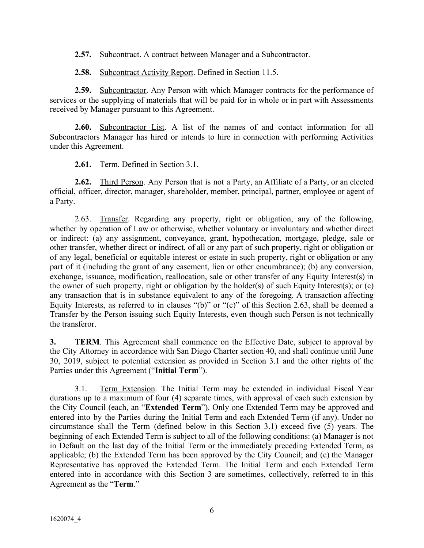**2.57.** Subcontract. A contract between Manager and a Subcontractor.

**2.58.** Subcontract Activity Report. Defined in Section 11.5.

**2.59.** Subcontractor. Any Person with which Manager contracts for the performance of services or the supplying of materials that will be paid for in whole or in part with Assessments received by Manager pursuant to this Agreement.

**2.60.** Subcontractor List. A list of the names of and contact information for all Subcontractors Manager has hired or intends to hire in connection with performing Activities under this Agreement.

**2.61.** Term. Defined in Section 3.1.

**2.62.** Third Person. Any Person that is not a Party, an Affiliate of a Party, or an elected official, officer, director, manager, shareholder, member, principal, partner, employee or agent of a Party.

2.63. Transfer. Regarding any property, right or obligation, any of the following, whether by operation of Law or otherwise, whether voluntary or involuntary and whether direct or indirect: (a) any assignment, conveyance, grant, hypothecation, mortgage, pledge, sale or other transfer, whether direct or indirect, of all or any part of such property, right or obligation or of any legal, beneficial or equitable interest or estate in such property, right or obligation or any part of it (including the grant of any easement, lien or other encumbrance); (b) any conversion, exchange, issuance, modification, reallocation, sale or other transfer of any Equity Interest(s) in the owner of such property, right or obligation by the holder(s) of such Equity Interest(s); or (c) any transaction that is in substance equivalent to any of the foregoing. A transaction affecting Equity Interests, as referred to in clauses "(b)" or "(c)" of this Section 2.63, shall be deemed a Transfer by the Person issuing such Equity Interests, even though such Person is not technically the transferor.

**3. TERM**. This Agreement shall commence on the Effective Date, subject to approval by the City Attorney in accordance with San Diego Charter section 40, and shall continue until June 30, 2019, subject to potential extension as provided in Section 3.1 and the other rights of the Parties under this Agreement ("**Initial Term**").

3.1. Term Extension. The Initial Term may be extended in individual Fiscal Year durations up to a maximum of four (4) separate times, with approval of each such extension by the City Council (each, an "**Extended Term**"). Only one Extended Term may be approved and entered into by the Parties during the Initial Term and each Extended Term (if any). Under no circumstance shall the Term (defined below in this Section 3.1) exceed five (5) years. The beginning of each Extended Term is subject to all of the following conditions: (a) Manager is not in Default on the last day of the Initial Term or the immediately preceding Extended Term, as applicable; (b) the Extended Term has been approved by the City Council; and (c) the Manager Representative has approved the Extended Term. The Initial Term and each Extended Term entered into in accordance with this Section 3 are sometimes, collectively, referred to in this Agreement as the "**Term**."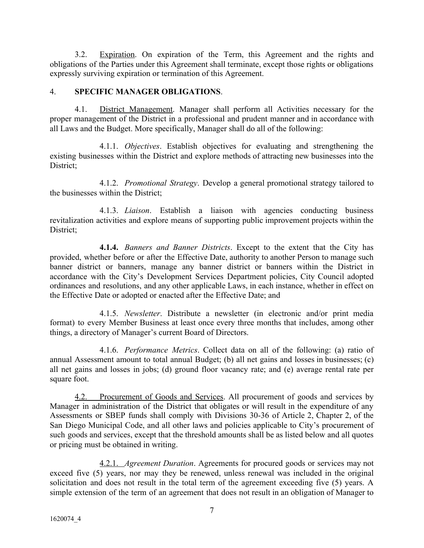3.2. Expiration. On expiration of the Term, this Agreement and the rights and obligations of the Parties under this Agreement shall terminate, except those rights or obligations expressly surviving expiration or termination of this Agreement.

## 4. **SPECIFIC MANAGER OBLIGATIONS**.

4.1. District Management. Manager shall perform all Activities necessary for the proper management of the District in a professional and prudent manner and in accordance with all Laws and the Budget. More specifically, Manager shall do all of the following:

4.1.1. *Objectives*. Establish objectives for evaluating and strengthening the existing businesses within the District and explore methods of attracting new businesses into the District;

4.1.2. *Promotional Strategy*. Develop a general promotional strategy tailored to the businesses within the District;

4.1.3. *Liaison*. Establish a liaison with agencies conducting business revitalization activities and explore means of supporting public improvement projects within the District:

**4.1.4.** *Banners and Banner Districts*. Except to the extent that the City has provided, whether before or after the Effective Date, authority to another Person to manage such banner district or banners, manage any banner district or banners within the District in accordance with the City's Development Services Department policies, City Council adopted ordinances and resolutions, and any other applicable Laws, in each instance, whether in effect on the Effective Date or adopted or enacted after the Effective Date; and

4.1.5. *Newsletter*. Distribute a newsletter (in electronic and/or print media format) to every Member Business at least once every three months that includes, among other things, a directory of Manager's current Board of Directors.

4.1.6. *Performance Metrics*. Collect data on all of the following: (a) ratio of annual Assessment amount to total annual Budget; (b) all net gains and losses in businesses; (c) all net gains and losses in jobs; (d) ground floor vacancy rate; and (e) average rental rate per square foot.

4.2. Procurement of Goods and Services. All procurement of goods and services by Manager in administration of the District that obligates or will result in the expenditure of any Assessments or SBEP funds shall comply with Divisions 30-36 of Article 2, Chapter 2, of the San Diego Municipal Code, and all other laws and policies applicable to City's procurement of such goods and services, except that the threshold amounts shall be as listed below and all quotes or pricing must be obtained in writing.

4.2.1. *Agreement Duration*. Agreements for procured goods or services may not exceed five (5) years, nor may they be renewed, unless renewal was included in the original solicitation and does not result in the total term of the agreement exceeding five (5) years. A simple extension of the term of an agreement that does not result in an obligation of Manager to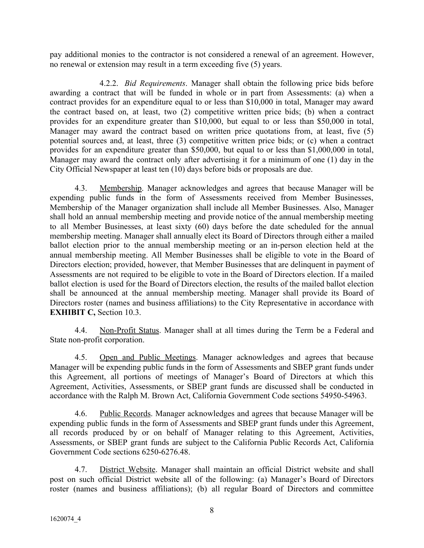pay additional monies to the contractor is not considered a renewal of an agreement. However, no renewal or extension may result in a term exceeding five (5) years.

4.2.2. *Bid Requirements*. Manager shall obtain the following price bids before awarding a contract that will be funded in whole or in part from Assessments: (a) when a contract provides for an expenditure equal to or less than \$10,000 in total, Manager may award the contract based on, at least, two (2) competitive written price bids; (b) when a contract provides for an expenditure greater than \$10,000, but equal to or less than \$50,000 in total, Manager may award the contract based on written price quotations from, at least, five (5) potential sources and, at least, three (3) competitive written price bids; or (c) when a contract provides for an expenditure greater than \$50,000, but equal to or less than \$1,000,000 in total, Manager may award the contract only after advertising it for a minimum of one (1) day in the City Official Newspaper at least ten (10) days before bids or proposals are due.

4.3. Membership. Manager acknowledges and agrees that because Manager will be expending public funds in the form of Assessments received from Member Businesses, Membership of the Manager organization shall include all Member Businesses. Also, Manager shall hold an annual membership meeting and provide notice of the annual membership meeting to all Member Businesses, at least sixty (60) days before the date scheduled for the annual membership meeting. Manager shall annually elect its Board of Directors through either a mailed ballot election prior to the annual membership meeting or an in-person election held at the annual membership meeting. All Member Businesses shall be eligible to vote in the Board of Directors election; provided, however, that Member Businesses that are delinquent in payment of Assessments are not required to be eligible to vote in the Board of Directors election. If a mailed ballot election is used for the Board of Directors election, the results of the mailed ballot election shall be announced at the annual membership meeting. Manager shall provide its Board of Directors roster (names and business affiliations) to the City Representative in accordance with **EXHIBIT C,** Section 10.3.

4.4. Non-Profit Status. Manager shall at all times during the Term be a Federal and State non-profit corporation.

4.5. Open and Public Meetings. Manager acknowledges and agrees that because Manager will be expending public funds in the form of Assessments and SBEP grant funds under this Agreement, all portions of meetings of Manager's Board of Directors at which this Agreement, Activities, Assessments, or SBEP grant funds are discussed shall be conducted in accordance with the Ralph M. Brown Act, California Government Code sections 54950-54963.

4.6. Public Records. Manager acknowledges and agrees that because Manager will be expending public funds in the form of Assessments and SBEP grant funds under this Agreement, all records produced by or on behalf of Manager relating to this Agreement, Activities, Assessments, or SBEP grant funds are subject to the California Public Records Act, California Government Code sections 6250-6276.48.

4.7. District Website. Manager shall maintain an official District website and shall post on such official District website all of the following: (a) Manager's Board of Directors roster (names and business affiliations); (b) all regular Board of Directors and committee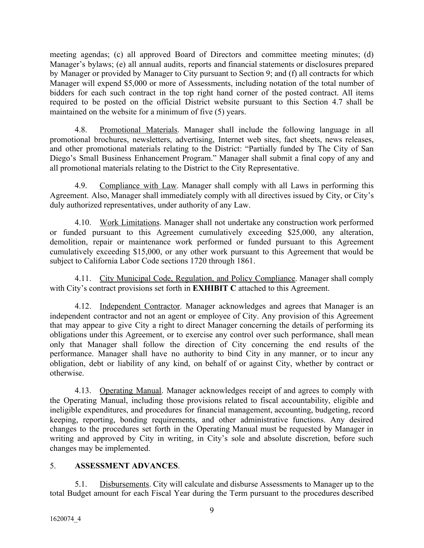meeting agendas; (c) all approved Board of Directors and committee meeting minutes; (d) Manager's bylaws; (e) all annual audits, reports and financial statements or disclosures prepared by Manager or provided by Manager to City pursuant to Section 9; and (f) all contracts for which Manager will expend \$5,000 or more of Assessments, including notation of the total number of bidders for each such contract in the top right hand corner of the posted contract. All items required to be posted on the official District website pursuant to this Section 4.7 shall be maintained on the website for a minimum of five (5) years.

4.8. Promotional Materials. Manager shall include the following language in all promotional brochures, newsletters, advertising, Internet web sites, fact sheets, news releases, and other promotional materials relating to the District: "Partially funded by The City of San Diego's Small Business Enhancement Program." Manager shall submit a final copy of any and all promotional materials relating to the District to the City Representative.

4.9. Compliance with Law. Manager shall comply with all Laws in performing this Agreement. Also, Manager shall immediately comply with all directives issued by City, or City's duly authorized representatives, under authority of any Law.

4.10. Work Limitations. Manager shall not undertake any construction work performed or funded pursuant to this Agreement cumulatively exceeding \$25,000, any alteration, demolition, repair or maintenance work performed or funded pursuant to this Agreement cumulatively exceeding \$15,000, or any other work pursuant to this Agreement that would be subject to California Labor Code sections 1720 through 1861.

4.11. City Municipal Code, Regulation, and Policy Compliance. Manager shall comply with City's contract provisions set forth in **EXHIBIT C** attached to this Agreement.

4.12. Independent Contractor. Manager acknowledges and agrees that Manager is an independent contractor and not an agent or employee of City. Any provision of this Agreement that may appear to give City a right to direct Manager concerning the details of performing its obligations under this Agreement, or to exercise any control over such performance, shall mean only that Manager shall follow the direction of City concerning the end results of the performance. Manager shall have no authority to bind City in any manner, or to incur any obligation, debt or liability of any kind, on behalf of or against City, whether by contract or otherwise.

4.13. Operating Manual. Manager acknowledges receipt of and agrees to comply with the Operating Manual, including those provisions related to fiscal accountability, eligible and ineligible expenditures, and procedures for financial management, accounting, budgeting, record keeping, reporting, bonding requirements, and other administrative functions. Any desired changes to the procedures set forth in the Operating Manual must be requested by Manager in writing and approved by City in writing, in City's sole and absolute discretion, before such changes may be implemented.

# 5. **ASSESSMENT ADVANCES**.

5.1. Disbursements. City will calculate and disburse Assessments to Manager up to the total Budget amount for each Fiscal Year during the Term pursuant to the procedures described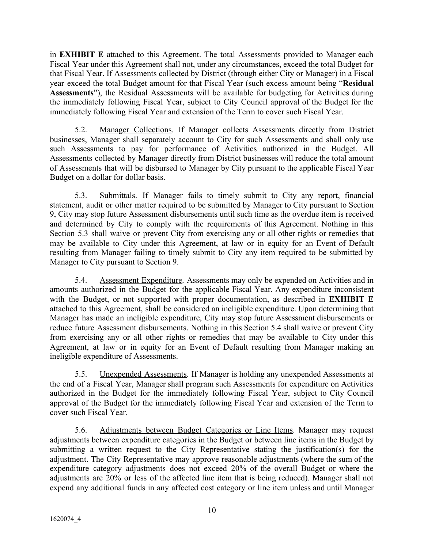in **EXHIBIT E** attached to this Agreement. The total Assessments provided to Manager each Fiscal Year under this Agreement shall not, under any circumstances, exceed the total Budget for that Fiscal Year. If Assessments collected by District (through either City or Manager) in a Fiscal year exceed the total Budget amount for that Fiscal Year (such excess amount being "**Residual Assessments**"), the Residual Assessments will be available for budgeting for Activities during the immediately following Fiscal Year, subject to City Council approval of the Budget for the immediately following Fiscal Year and extension of the Term to cover such Fiscal Year.

5.2. Manager Collections. If Manager collects Assessments directly from District businesses, Manager shall separately account to City for such Assessments and shall only use such Assessments to pay for performance of Activities authorized in the Budget. All Assessments collected by Manager directly from District businesses will reduce the total amount of Assessments that will be disbursed to Manager by City pursuant to the applicable Fiscal Year Budget on a dollar for dollar basis.

5.3. Submittals. If Manager fails to timely submit to City any report, financial statement, audit or other matter required to be submitted by Manager to City pursuant to Section 9, City may stop future Assessment disbursements until such time as the overdue item is received and determined by City to comply with the requirements of this Agreement. Nothing in this Section 5.3 shall waive or prevent City from exercising any or all other rights or remedies that may be available to City under this Agreement, at law or in equity for an Event of Default resulting from Manager failing to timely submit to City any item required to be submitted by Manager to City pursuant to Section 9.

5.4. Assessment Expenditure. Assessments may only be expended on Activities and in amounts authorized in the Budget for the applicable Fiscal Year. Any expenditure inconsistent with the Budget, or not supported with proper documentation, as described in **EXHIBIT E** attached to this Agreement, shall be considered an ineligible expenditure. Upon determining that Manager has made an ineligible expenditure, City may stop future Assessment disbursements or reduce future Assessment disbursements. Nothing in this Section 5.4 shall waive or prevent City from exercising any or all other rights or remedies that may be available to City under this Agreement, at law or in equity for an Event of Default resulting from Manager making an ineligible expenditure of Assessments.

5.5. Unexpended Assessments. If Manager is holding any unexpended Assessments at the end of a Fiscal Year, Manager shall program such Assessments for expenditure on Activities authorized in the Budget for the immediately following Fiscal Year, subject to City Council approval of the Budget for the immediately following Fiscal Year and extension of the Term to cover such Fiscal Year.

5.6. Adjustments between Budget Categories or Line Items. Manager may request adjustments between expenditure categories in the Budget or between line items in the Budget by submitting a written request to the City Representative stating the justification(s) for the adjustment. The City Representative may approve reasonable adjustments (where the sum of the expenditure category adjustments does not exceed 20% of the overall Budget or where the adjustments are 20% or less of the affected line item that is being reduced). Manager shall not expend any additional funds in any affected cost category or line item unless and until Manager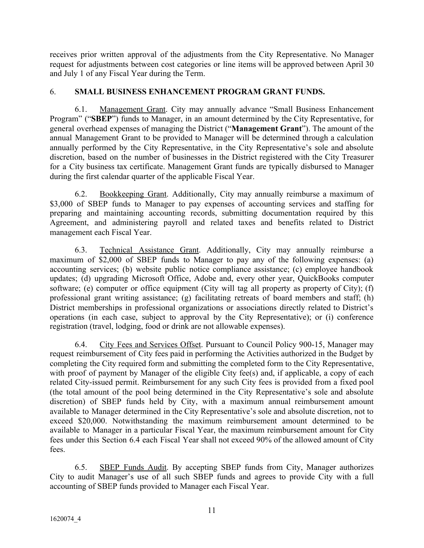receives prior written approval of the adjustments from the City Representative. No Manager request for adjustments between cost categories or line items will be approved between April 30 and July 1 of any Fiscal Year during the Term.

# 6. **SMALL BUSINESS ENHANCEMENT PROGRAM GRANT FUNDS.**

6.1. Management Grant. City may annually advance "Small Business Enhancement Program" ("**SBEP**") funds to Manager, in an amount determined by the City Representative, for general overhead expenses of managing the District ("**Management Grant**"). The amount of the annual Management Grant to be provided to Manager will be determined through a calculation annually performed by the City Representative, in the City Representative's sole and absolute discretion, based on the number of businesses in the District registered with the City Treasurer for a City business tax certificate. Management Grant funds are typically disbursed to Manager during the first calendar quarter of the applicable Fiscal Year.

6.2. Bookkeeping Grant. Additionally, City may annually reimburse a maximum of \$3,000 of SBEP funds to Manager to pay expenses of accounting services and staffing for preparing and maintaining accounting records, submitting documentation required by this Agreement, and administering payroll and related taxes and benefits related to District management each Fiscal Year.

6.3. Technical Assistance Grant. Additionally, City may annually reimburse a maximum of \$2,000 of SBEP funds to Manager to pay any of the following expenses: (a) accounting services; (b) website public notice compliance assistance; (c) employee handbook updates; (d) upgrading Microsoft Office, Adobe and, every other year, QuickBooks computer software; (e) computer or office equipment (City will tag all property as property of City); (f) professional grant writing assistance; (g) facilitating retreats of board members and staff; (h) District memberships in professional organizations or associations directly related to District's operations (in each case, subject to approval by the City Representative); or (i) conference registration (travel, lodging, food or drink are not allowable expenses).

6.4. City Fees and Services Offset. Pursuant to Council Policy 900-15, Manager may request reimbursement of City fees paid in performing the Activities authorized in the Budget by completing the City required form and submitting the completed form to the City Representative, with proof of payment by Manager of the eligible City fee(s) and, if applicable, a copy of each related City-issued permit. Reimbursement for any such City fees is provided from a fixed pool (the total amount of the pool being determined in the City Representative's sole and absolute discretion) of SBEP funds held by City, with a maximum annual reimbursement amount available to Manager determined in the City Representative's sole and absolute discretion, not to exceed \$20,000. Notwithstanding the maximum reimbursement amount determined to be available to Manager in a particular Fiscal Year, the maximum reimbursement amount for City fees under this Section 6.4 each Fiscal Year shall not exceed 90% of the allowed amount of City fees.

6.5. SBEP Funds Audit. By accepting SBEP funds from City, Manager authorizes City to audit Manager's use of all such SBEP funds and agrees to provide City with a full accounting of SBEP funds provided to Manager each Fiscal Year.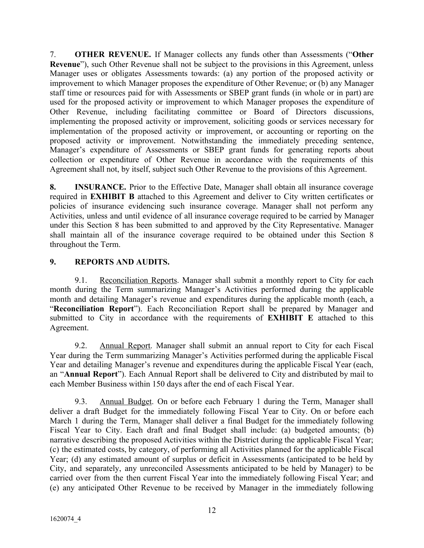7. **OTHER REVENUE.** If Manager collects any funds other than Assessments ("**Other Revenue**"), such Other Revenue shall not be subject to the provisions in this Agreement, unless Manager uses or obligates Assessments towards: (a) any portion of the proposed activity or improvement to which Manager proposes the expenditure of Other Revenue; or (b) any Manager staff time or resources paid for with Assessments or SBEP grant funds (in whole or in part) are used for the proposed activity or improvement to which Manager proposes the expenditure of Other Revenue, including facilitating committee or Board of Directors discussions, implementing the proposed activity or improvement, soliciting goods or services necessary for implementation of the proposed activity or improvement, or accounting or reporting on the proposed activity or improvement. Notwithstanding the immediately preceding sentence, Manager's expenditure of Assessments or SBEP grant funds for generating reports about collection or expenditure of Other Revenue in accordance with the requirements of this Agreement shall not, by itself, subject such Other Revenue to the provisions of this Agreement.

**8. INSURANCE.** Prior to the Effective Date, Manager shall obtain all insurance coverage required in **EXHIBIT B** attached to this Agreement and deliver to City written certificates or policies of insurance evidencing such insurance coverage. Manager shall not perform any Activities, unless and until evidence of all insurance coverage required to be carried by Manager under this Section 8 has been submitted to and approved by the City Representative. Manager shall maintain all of the insurance coverage required to be obtained under this Section 8 throughout the Term.

# **9. REPORTS AND AUDITS.**

9.1. Reconciliation Reports. Manager shall submit a monthly report to City for each month during the Term summarizing Manager's Activities performed during the applicable month and detailing Manager's revenue and expenditures during the applicable month (each, a "**Reconciliation Report**"). Each Reconciliation Report shall be prepared by Manager and submitted to City in accordance with the requirements of **EXHIBIT E** attached to this Agreement.

9.2. Annual Report. Manager shall submit an annual report to City for each Fiscal Year during the Term summarizing Manager's Activities performed during the applicable Fiscal Year and detailing Manager's revenue and expenditures during the applicable Fiscal Year (each, an "**Annual Report**"). Each Annual Report shall be delivered to City and distributed by mail to each Member Business within 150 days after the end of each Fiscal Year.

9.3. Annual Budget. On or before each February 1 during the Term, Manager shall deliver a draft Budget for the immediately following Fiscal Year to City. On or before each March 1 during the Term, Manager shall deliver a final Budget for the immediately following Fiscal Year to City. Each draft and final Budget shall include: (a) budgeted amounts; (b) narrative describing the proposed Activities within the District during the applicable Fiscal Year; (c) the estimated costs, by category, of performing all Activities planned for the applicable Fiscal Year; (d) any estimated amount of surplus or deficit in Assessments (anticipated to be held by City, and separately, any unreconciled Assessments anticipated to be held by Manager) to be carried over from the then current Fiscal Year into the immediately following Fiscal Year; and (e) any anticipated Other Revenue to be received by Manager in the immediately following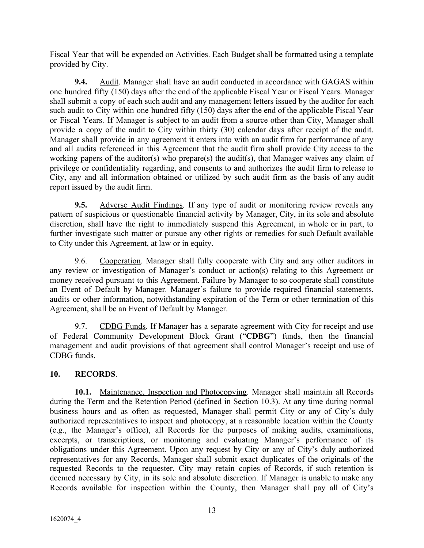Fiscal Year that will be expended on Activities. Each Budget shall be formatted using a template provided by City.

**9.4.** Audit. Manager shall have an audit conducted in accordance with GAGAS within one hundred fifty (150) days after the end of the applicable Fiscal Year or Fiscal Years. Manager shall submit a copy of each such audit and any management letters issued by the auditor for each such audit to City within one hundred fifty (150) days after the end of the applicable Fiscal Year or Fiscal Years. If Manager is subject to an audit from a source other than City, Manager shall provide a copy of the audit to City within thirty (30) calendar days after receipt of the audit. Manager shall provide in any agreement it enters into with an audit firm for performance of any and all audits referenced in this Agreement that the audit firm shall provide City access to the working papers of the auditor(s) who prepare(s) the audit(s), that Manager waives any claim of privilege or confidentiality regarding, and consents to and authorizes the audit firm to release to City, any and all information obtained or utilized by such audit firm as the basis of any audit report issued by the audit firm.

**9.5.** Adverse Audit Findings. If any type of audit or monitoring review reveals any pattern of suspicious or questionable financial activity by Manager, City, in its sole and absolute discretion, shall have the right to immediately suspend this Agreement, in whole or in part, to further investigate such matter or pursue any other rights or remedies for such Default available to City under this Agreement, at law or in equity.

9.6. Cooperation. Manager shall fully cooperate with City and any other auditors in any review or investigation of Manager's conduct or action(s) relating to this Agreement or money received pursuant to this Agreement. Failure by Manager to so cooperate shall constitute an Event of Default by Manager. Manager's failure to provide required financial statements, audits or other information, notwithstanding expiration of the Term or other termination of this Agreement, shall be an Event of Default by Manager.

9.7. CDBG Funds. If Manager has a separate agreement with City for receipt and use of Federal Community Development Block Grant ("**CDBG**") funds, then the financial management and audit provisions of that agreement shall control Manager's receipt and use of CDBG funds.

# **10. RECORDS**.

**10.1.** Maintenance, Inspection and Photocopying. Manager shall maintain all Records during the Term and the Retention Period (defined in Section 10.3). At any time during normal business hours and as often as requested, Manager shall permit City or any of City's duly authorized representatives to inspect and photocopy, at a reasonable location within the County (e.g., the Manager's office), all Records for the purposes of making audits, examinations, excerpts, or transcriptions, or monitoring and evaluating Manager's performance of its obligations under this Agreement. Upon any request by City or any of City's duly authorized representatives for any Records, Manager shall submit exact duplicates of the originals of the requested Records to the requester. City may retain copies of Records, if such retention is deemed necessary by City, in its sole and absolute discretion. If Manager is unable to make any Records available for inspection within the County, then Manager shall pay all of City's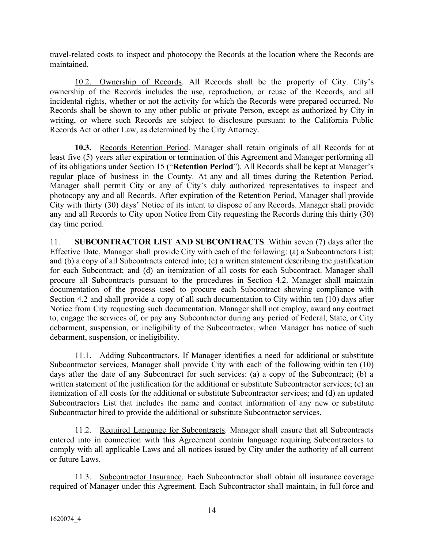travel-related costs to inspect and photocopy the Records at the location where the Records are maintained.

10.2. Ownership of Records. All Records shall be the property of City. City's ownership of the Records includes the use, reproduction, or reuse of the Records, and all incidental rights, whether or not the activity for which the Records were prepared occurred. No Records shall be shown to any other public or private Person, except as authorized by City in writing, or where such Records are subject to disclosure pursuant to the California Public Records Act or other Law, as determined by the City Attorney.

**10.3.** Records Retention Period. Manager shall retain originals of all Records for at least five (5) years after expiration or termination of this Agreement and Manager performing all of its obligations under Section 15 ("**Retention Period**"). All Records shall be kept at Manager's regular place of business in the County. At any and all times during the Retention Period, Manager shall permit City or any of City's duly authorized representatives to inspect and photocopy any and all Records. After expiration of the Retention Period, Manager shall provide City with thirty (30) days' Notice of its intent to dispose of any Records. Manager shall provide any and all Records to City upon Notice from City requesting the Records during this thirty (30) day time period.

11. **SUBCONTRACTOR LIST AND SUBCONTRACTS**. Within seven (7) days after the Effective Date, Manager shall provide City with each of the following: (a) a Subcontractors List; and (b) a copy of all Subcontracts entered into; (c) a written statement describing the justification for each Subcontract; and (d) an itemization of all costs for each Subcontract. Manager shall procure all Subcontracts pursuant to the procedures in Section 4.2. Manager shall maintain documentation of the process used to procure each Subcontract showing compliance with Section 4.2 and shall provide a copy of all such documentation to City within ten (10) days after Notice from City requesting such documentation. Manager shall not employ, award any contract to, engage the services of, or pay any Subcontractor during any period of Federal, State, or City debarment, suspension, or ineligibility of the Subcontractor, when Manager has notice of such debarment, suspension, or ineligibility.

11.1. Adding Subcontractors. If Manager identifies a need for additional or substitute Subcontractor services, Manager shall provide City with each of the following within ten (10) days after the date of any Subcontract for such services: (a) a copy of the Subcontract; (b) a written statement of the justification for the additional or substitute Subcontractor services; (c) an itemization of all costs for the additional or substitute Subcontractor services; and (d) an updated Subcontractors List that includes the name and contact information of any new or substitute Subcontractor hired to provide the additional or substitute Subcontractor services.

11.2. Required Language for Subcontracts. Manager shall ensure that all Subcontracts entered into in connection with this Agreement contain language requiring Subcontractors to comply with all applicable Laws and all notices issued by City under the authority of all current or future Laws.

11.3. Subcontractor Insurance. Each Subcontractor shall obtain all insurance coverage required of Manager under this Agreement. Each Subcontractor shall maintain, in full force and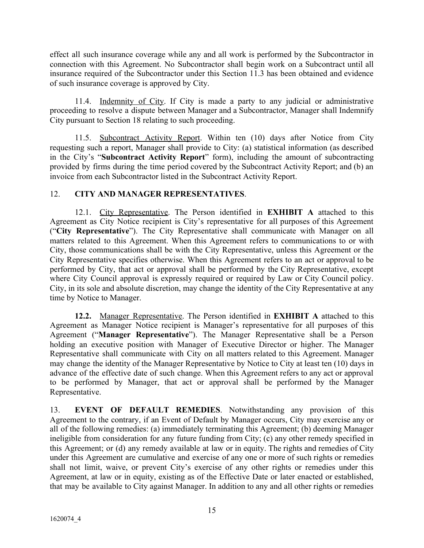effect all such insurance coverage while any and all work is performed by the Subcontractor in connection with this Agreement. No Subcontractor shall begin work on a Subcontract until all insurance required of the Subcontractor under this Section 11.3 has been obtained and evidence of such insurance coverage is approved by City.

11.4. Indemnity of City. If City is made a party to any judicial or administrative proceeding to resolve a dispute between Manager and a Subcontractor, Manager shall Indemnify City pursuant to Section 18 relating to such proceeding.

11.5. Subcontract Activity Report. Within ten (10) days after Notice from City requesting such a report, Manager shall provide to City: (a) statistical information (as described in the City's "**Subcontract Activity Report**" form), including the amount of subcontracting provided by firms during the time period covered by the Subcontract Activity Report; and (b) an invoice from each Subcontractor listed in the Subcontract Activity Report.

# 12. **CITY AND MANAGER REPRESENTATIVES**.

12.1. City Representative. The Person identified in **EXHIBIT A** attached to this Agreement as City Notice recipient is City's representative for all purposes of this Agreement ("**City Representative**"). The City Representative shall communicate with Manager on all matters related to this Agreement. When this Agreement refers to communications to or with City, those communications shall be with the City Representative, unless this Agreement or the City Representative specifies otherwise. When this Agreement refers to an act or approval to be performed by City, that act or approval shall be performed by the City Representative, except where City Council approval is expressly required or required by Law or City Council policy. City, in its sole and absolute discretion, may change the identity of the City Representative at any time by Notice to Manager.

**12.2.** Manager Representative. The Person identified in **EXHIBIT A** attached to this Agreement as Manager Notice recipient is Manager's representative for all purposes of this Agreement ("**Manager Representative**"). The Manager Representative shall be a Person holding an executive position with Manager of Executive Director or higher. The Manager Representative shall communicate with City on all matters related to this Agreement. Manager may change the identity of the Manager Representative by Notice to City at least ten (10) days in advance of the effective date of such change. When this Agreement refers to any act or approval to be performed by Manager, that act or approval shall be performed by the Manager Representative.

13. **EVENT OF DEFAULT REMEDIES**. Notwithstanding any provision of this Agreement to the contrary, if an Event of Default by Manager occurs, City may exercise any or all of the following remedies: (a) immediately terminating this Agreement; (b) deeming Manager ineligible from consideration for any future funding from City; (c) any other remedy specified in this Agreement; or (d) any remedy available at law or in equity. The rights and remedies of City under this Agreement are cumulative and exercise of any one or more of such rights or remedies shall not limit, waive, or prevent City's exercise of any other rights or remedies under this Agreement, at law or in equity, existing as of the Effective Date or later enacted or established, that may be available to City against Manager. In addition to any and all other rights or remedies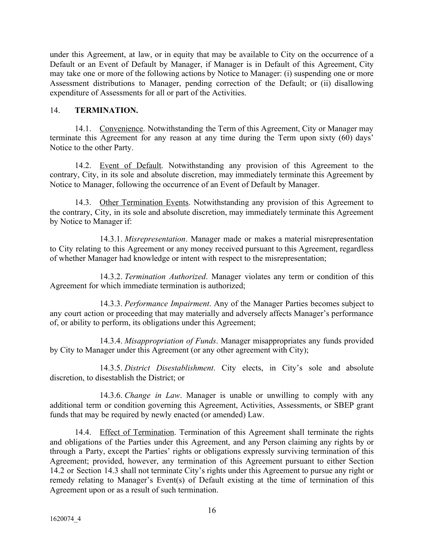under this Agreement, at law, or in equity that may be available to City on the occurrence of a Default or an Event of Default by Manager, if Manager is in Default of this Agreement, City may take one or more of the following actions by Notice to Manager: (i) suspending one or more Assessment distributions to Manager, pending correction of the Default; or (ii) disallowing expenditure of Assessments for all or part of the Activities.

## 14. **TERMINATION.**

14.1. Convenience. Notwithstanding the Term of this Agreement, City or Manager may terminate this Agreement for any reason at any time during the Term upon sixty (60) days' Notice to the other Party.

14.2. Event of Default. Notwithstanding any provision of this Agreement to the contrary, City, in its sole and absolute discretion, may immediately terminate this Agreement by Notice to Manager, following the occurrence of an Event of Default by Manager.

14.3. Other Termination Events. Notwithstanding any provision of this Agreement to the contrary, City, in its sole and absolute discretion, may immediately terminate this Agreement by Notice to Manager if:

14.3.1. *Misrepresentation*. Manager made or makes a material misrepresentation to City relating to this Agreement or any money received pursuant to this Agreement, regardless of whether Manager had knowledge or intent with respect to the misrepresentation;

14.3.2. *Termination Authorized*. Manager violates any term or condition of this Agreement for which immediate termination is authorized;

14.3.3. *Performance Impairment*. Any of the Manager Parties becomes subject to any court action or proceeding that may materially and adversely affects Manager's performance of, or ability to perform, its obligations under this Agreement;

14.3.4. *Misappropriation of Funds*. Manager misappropriates any funds provided by City to Manager under this Agreement (or any other agreement with City);

14.3.5. *District Disestablishment*. City elects, in City's sole and absolute discretion, to disestablish the District; or

14.3.6. *Change in Law*. Manager is unable or unwilling to comply with any additional term or condition governing this Agreement, Activities, Assessments, or SBEP grant funds that may be required by newly enacted (or amended) Law.

14.4. Effect of Termination. Termination of this Agreement shall terminate the rights and obligations of the Parties under this Agreement, and any Person claiming any rights by or through a Party, except the Parties' rights or obligations expressly surviving termination of this Agreement; provided, however, any termination of this Agreement pursuant to either Section 14.2 or Section 14.3 shall not terminate City's rights under this Agreement to pursue any right or remedy relating to Manager's Event(s) of Default existing at the time of termination of this Agreement upon or as a result of such termination.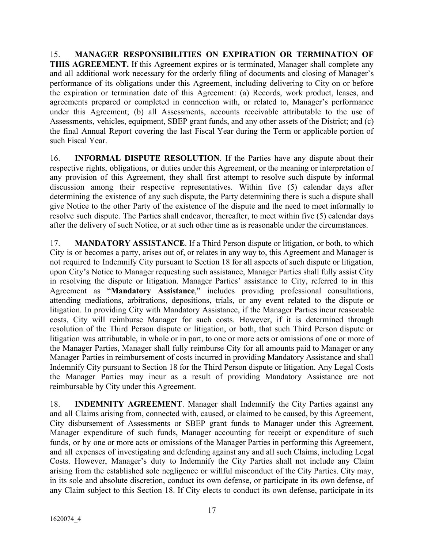15. **MANAGER RESPONSIBILITIES ON EXPIRATION OR TERMINATION OF THIS AGREEMENT.** If this Agreement expires or is terminated, Manager shall complete any and all additional work necessary for the orderly filing of documents and closing of Manager's performance of its obligations under this Agreement, including delivering to City on or before the expiration or termination date of this Agreement: (a) Records, work product, leases, and agreements prepared or completed in connection with, or related to, Manager's performance under this Agreement; (b) all Assessments, accounts receivable attributable to the use of Assessments, vehicles, equipment, SBEP grant funds, and any other assets of the District; and (c) the final Annual Report covering the last Fiscal Year during the Term or applicable portion of such Fiscal Year.

16. **INFORMAL DISPUTE RESOLUTION**. If the Parties have any dispute about their respective rights, obligations, or duties under this Agreement, or the meaning or interpretation of any provision of this Agreement, they shall first attempt to resolve such dispute by informal discussion among their respective representatives. Within five (5) calendar days after determining the existence of any such dispute, the Party determining there is such a dispute shall give Notice to the other Party of the existence of the dispute and the need to meet informally to resolve such dispute. The Parties shall endeavor, thereafter, to meet within five (5) calendar days after the delivery of such Notice, or at such other time as is reasonable under the circumstances.

17. **MANDATORY ASSISTANCE**. If a Third Person dispute or litigation, or both, to which City is or becomes a party, arises out of, or relates in any way to, this Agreement and Manager is not required to Indemnify City pursuant to Section 18 for all aspects of such dispute or litigation, upon City's Notice to Manager requesting such assistance, Manager Parties shall fully assist City in resolving the dispute or litigation. Manager Parties' assistance to City, referred to in this Agreement as "**Mandatory Assistance**," includes providing professional consultations, attending mediations, arbitrations, depositions, trials, or any event related to the dispute or litigation. In providing City with Mandatory Assistance, if the Manager Parties incur reasonable costs, City will reimburse Manager for such costs. However, if it is determined through resolution of the Third Person dispute or litigation, or both, that such Third Person dispute or litigation was attributable, in whole or in part, to one or more acts or omissions of one or more of the Manager Parties, Manager shall fully reimburse City for all amounts paid to Manager or any Manager Parties in reimbursement of costs incurred in providing Mandatory Assistance and shall Indemnify City pursuant to Section 18 for the Third Person dispute or litigation. Any Legal Costs the Manager Parties may incur as a result of providing Mandatory Assistance are not reimbursable by City under this Agreement.

18. **INDEMNITY AGREEMENT**. Manager shall Indemnify the City Parties against any and all Claims arising from, connected with, caused, or claimed to be caused, by this Agreement, City disbursement of Assessments or SBEP grant funds to Manager under this Agreement, Manager expenditure of such funds, Manager accounting for receipt or expenditure of such funds, or by one or more acts or omissions of the Manager Parties in performing this Agreement, and all expenses of investigating and defending against any and all such Claims, including Legal Costs. However, Manager's duty to Indemnify the City Parties shall not include any Claim arising from the established sole negligence or willful misconduct of the City Parties. City may, in its sole and absolute discretion, conduct its own defense, or participate in its own defense, of any Claim subject to this Section 18. If City elects to conduct its own defense, participate in its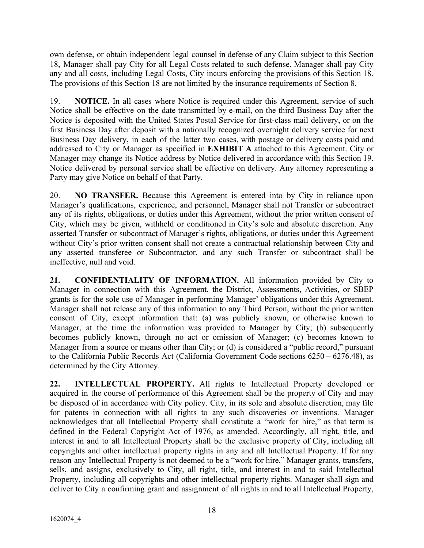own defense, or obtain independent legal counsel in defense of any Claim subject to this Section 18, Manager shall pay City for all Legal Costs related to such defense. Manager shall pay City any and all costs, including Legal Costs, City incurs enforcing the provisions of this Section 18. The provisions of this Section 18 are not limited by the insurance requirements of Section 8.

19. **NOTICE.** In all cases where Notice is required under this Agreement, service of such Notice shall be effective on the date transmitted by e-mail, on the third Business Day after the Notice is deposited with the United States Postal Service for first-class mail delivery, or on the first Business Day after deposit with a nationally recognized overnight delivery service for next Business Day delivery, in each of the latter two cases, with postage or delivery costs paid and addressed to City or Manager as specified in **EXHIBIT A** attached to this Agreement. City or Manager may change its Notice address by Notice delivered in accordance with this Section 19. Notice delivered by personal service shall be effective on delivery. Any attorney representing a Party may give Notice on behalf of that Party.

20. **NO TRANSFER.** Because this Agreement is entered into by City in reliance upon Manager's qualifications, experience, and personnel, Manager shall not Transfer or subcontract any of its rights, obligations, or duties under this Agreement, without the prior written consent of City, which may be given, withheld or conditioned in City's sole and absolute discretion. Any asserted Transfer or subcontract of Manager's rights, obligations, or duties under this Agreement without City's prior written consent shall not create a contractual relationship between City and any asserted transferee or Subcontractor, and any such Transfer or subcontract shall be ineffective, null and void.

**21. CONFIDENTIALITY OF INFORMATION.** All information provided by City to Manager in connection with this Agreement, the District, Assessments, Activities, or SBEP grants is for the sole use of Manager in performing Manager' obligations under this Agreement. Manager shall not release any of this information to any Third Person, without the prior written consent of City, except information that: (a) was publicly known, or otherwise known to Manager, at the time the information was provided to Manager by City; (b) subsequently becomes publicly known, through no act or omission of Manager; (c) becomes known to Manager from a source or means other than City; or (d) is considered a "public record," pursuant to the California Public Records Act (California Government Code sections 6250 – 6276.48), as determined by the City Attorney.

**22. INTELLECTUAL PROPERTY.** All rights to Intellectual Property developed or acquired in the course of performance of this Agreement shall be the property of City and may be disposed of in accordance with City policy. City, in its sole and absolute discretion, may file for patents in connection with all rights to any such discoveries or inventions. Manager acknowledges that all Intellectual Property shall constitute a "work for hire," as that term is defined in the Federal Copyright Act of 1976, as amended. Accordingly, all right, title, and interest in and to all Intellectual Property shall be the exclusive property of City, including all copyrights and other intellectual property rights in any and all Intellectual Property. If for any reason any Intellectual Property is not deemed to be a "work for hire," Manager grants, transfers, sells, and assigns, exclusively to City, all right, title, and interest in and to said Intellectual Property, including all copyrights and other intellectual property rights. Manager shall sign and deliver to City a confirming grant and assignment of all rights in and to all Intellectual Property,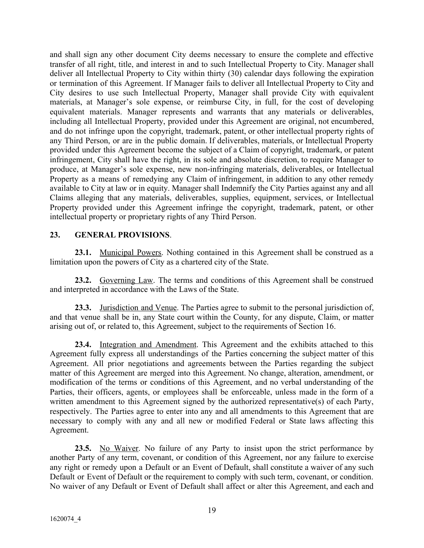and shall sign any other document City deems necessary to ensure the complete and effective transfer of all right, title, and interest in and to such Intellectual Property to City. Manager shall deliver all Intellectual Property to City within thirty (30) calendar days following the expiration or termination of this Agreement. If Manager fails to deliver all Intellectual Property to City and City desires to use such Intellectual Property, Manager shall provide City with equivalent materials, at Manager's sole expense, or reimburse City, in full, for the cost of developing equivalent materials. Manager represents and warrants that any materials or deliverables, including all Intellectual Property, provided under this Agreement are original, not encumbered, and do not infringe upon the copyright, trademark, patent, or other intellectual property rights of any Third Person, or are in the public domain. If deliverables, materials, or Intellectual Property provided under this Agreement become the subject of a Claim of copyright, trademark, or patent infringement, City shall have the right, in its sole and absolute discretion, to require Manager to produce, at Manager's sole expense, new non-infringing materials, deliverables, or Intellectual Property as a means of remedying any Claim of infringement, in addition to any other remedy available to City at law or in equity. Manager shall Indemnify the City Parties against any and all Claims alleging that any materials, deliverables, supplies, equipment, services, or Intellectual Property provided under this Agreement infringe the copyright, trademark, patent, or other intellectual property or proprietary rights of any Third Person.

### **23. GENERAL PROVISIONS**.

**23.1.** Municipal Powers. Nothing contained in this Agreement shall be construed as a limitation upon the powers of City as a chartered city of the State.

**23.2.** Governing Law. The terms and conditions of this Agreement shall be construed and interpreted in accordance with the Laws of the State.

**23.3.** Jurisdiction and Venue. The Parties agree to submit to the personal jurisdiction of, and that venue shall be in, any State court within the County, for any dispute, Claim, or matter arising out of, or related to, this Agreement, subject to the requirements of Section 16.

**23.4.** Integration and Amendment. This Agreement and the exhibits attached to this Agreement fully express all understandings of the Parties concerning the subject matter of this Agreement. All prior negotiations and agreements between the Parties regarding the subject matter of this Agreement are merged into this Agreement. No change, alteration, amendment, or modification of the terms or conditions of this Agreement, and no verbal understanding of the Parties, their officers, agents, or employees shall be enforceable, unless made in the form of a written amendment to this Agreement signed by the authorized representative(s) of each Party, respectively. The Parties agree to enter into any and all amendments to this Agreement that are necessary to comply with any and all new or modified Federal or State laws affecting this Agreement.

**23.5.** No Waiver. No failure of any Party to insist upon the strict performance by another Party of any term, covenant, or condition of this Agreement, nor any failure to exercise any right or remedy upon a Default or an Event of Default, shall constitute a waiver of any such Default or Event of Default or the requirement to comply with such term, covenant, or condition. No waiver of any Default or Event of Default shall affect or alter this Agreement, and each and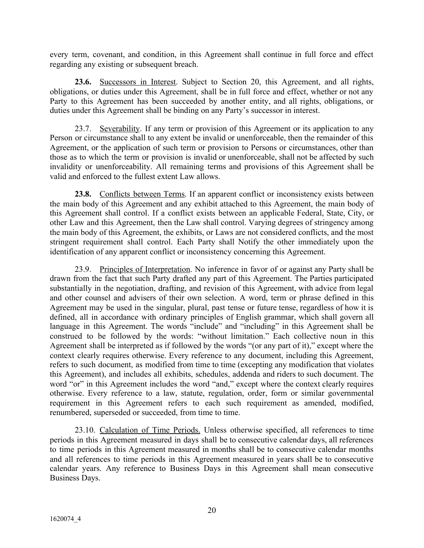every term, covenant, and condition, in this Agreement shall continue in full force and effect regarding any existing or subsequent breach.

**23.6.** Successors in Interest. Subject to Section 20, this Agreement, and all rights, obligations, or duties under this Agreement, shall be in full force and effect, whether or not any Party to this Agreement has been succeeded by another entity, and all rights, obligations, or duties under this Agreement shall be binding on any Party's successor in interest.

23.7. Severability. If any term or provision of this Agreement or its application to any Person or circumstance shall to any extent be invalid or unenforceable, then the remainder of this Agreement, or the application of such term or provision to Persons or circumstances, other than those as to which the term or provision is invalid or unenforceable, shall not be affected by such invalidity or unenforceability. All remaining terms and provisions of this Agreement shall be valid and enforced to the fullest extent Law allows.

**23.8.** Conflicts between Terms. If an apparent conflict or inconsistency exists between the main body of this Agreement and any exhibit attached to this Agreement, the main body of this Agreement shall control. If a conflict exists between an applicable Federal, State, City, or other Law and this Agreement, then the Law shall control. Varying degrees of stringency among the main body of this Agreement, the exhibits, or Laws are not considered conflicts, and the most stringent requirement shall control. Each Party shall Notify the other immediately upon the identification of any apparent conflict or inconsistency concerning this Agreement.

23.9. Principles of Interpretation. No inference in favor of or against any Party shall be drawn from the fact that such Party drafted any part of this Agreement. The Parties participated substantially in the negotiation, drafting, and revision of this Agreement, with advice from legal and other counsel and advisers of their own selection. A word, term or phrase defined in this Agreement may be used in the singular, plural, past tense or future tense, regardless of how it is defined, all in accordance with ordinary principles of English grammar, which shall govern all language in this Agreement. The words "include" and "including" in this Agreement shall be construed to be followed by the words: "without limitation." Each collective noun in this Agreement shall be interpreted as if followed by the words "(or any part of it)," except where the context clearly requires otherwise. Every reference to any document, including this Agreement, refers to such document, as modified from time to time (excepting any modification that violates this Agreement), and includes all exhibits, schedules, addenda and riders to such document. The word "or" in this Agreement includes the word "and," except where the context clearly requires otherwise. Every reference to a law, statute, regulation, order, form or similar governmental requirement in this Agreement refers to each such requirement as amended, modified, renumbered, superseded or succeeded, from time to time.

23.10. Calculation of Time Periods. Unless otherwise specified, all references to time periods in this Agreement measured in days shall be to consecutive calendar days, all references to time periods in this Agreement measured in months shall be to consecutive calendar months and all references to time periods in this Agreement measured in years shall be to consecutive calendar years. Any reference to Business Days in this Agreement shall mean consecutive Business Days.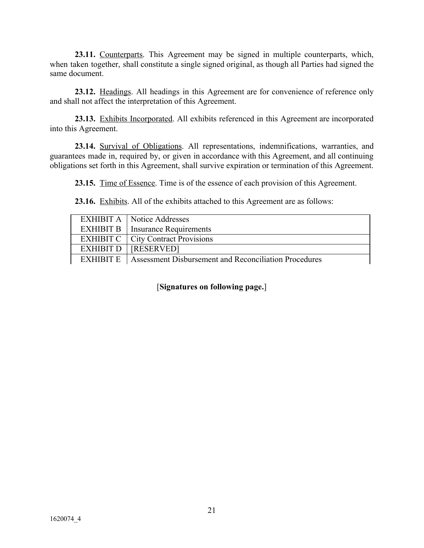**23.11.** Counterparts. This Agreement may be signed in multiple counterparts, which, when taken together, shall constitute a single signed original, as though all Parties had signed the same document.

**23.12.** Headings. All headings in this Agreement are for convenience of reference only and shall not affect the interpretation of this Agreement.

**23.13.** Exhibits Incorporated. All exhibits referenced in this Agreement are incorporated into this Agreement.

**23.14.** Survival of Obligations. All representations, indemnifications, warranties, and guarantees made in, required by, or given in accordance with this Agreement, and all continuing obligations set forth in this Agreement, shall survive expiration or termination of this Agreement.

**23.15.** Time of Essence. Time is of the essence of each provision of this Agreement.

**23.16.** Exhibits. All of the exhibits attached to this Agreement are as follows:

|           | <b>EXHIBIT A</b>   Notice Addresses                   |
|-----------|-------------------------------------------------------|
|           | <b>EXHIBIT B</b>   Insurance Requirements             |
|           | <b>EXHIBIT C</b>   City Contract Provisions           |
| EXHIBIT D | <b>TRESERVED1</b>                                     |
| EXHIBIT E | Assessment Disbursement and Reconciliation Procedures |

[**Signatures on following page.**]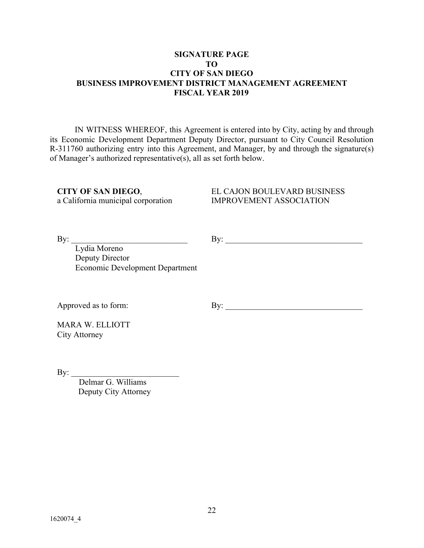### **SIGNATURE PAGE TO CITY OF SAN DIEGO BUSINESS IMPROVEMENT DISTRICT MANAGEMENT AGREEMENT FISCAL YEAR 2019**

IN WITNESS WHEREOF, this Agreement is entered into by City, acting by and through its Economic Development Department Deputy Director, pursuant to City Council Resolution R-311760 authorizing entry into this Agreement, and Manager, by and through the signature(s) of Manager's authorized representative(s), all as set forth below.

**CITY OF SAN DIEGO**, a California municipal corporation

EL CAJON BOULEVARD BUSINESS IMPROVEMENT ASSOCIATION

By:  $\Box$ 

 $\mathbf{By:}$ 

Lydia Moreno Deputy Director Economic Development Department

Approved as to form:

By: \_\_\_\_\_\_\_\_\_\_\_\_\_\_\_\_\_\_\_\_\_\_\_\_\_\_\_\_\_\_\_\_\_

MARA W. ELLIOTT City Attorney

By:  $\Box$ 

Delmar G. Williams Deputy City Attorney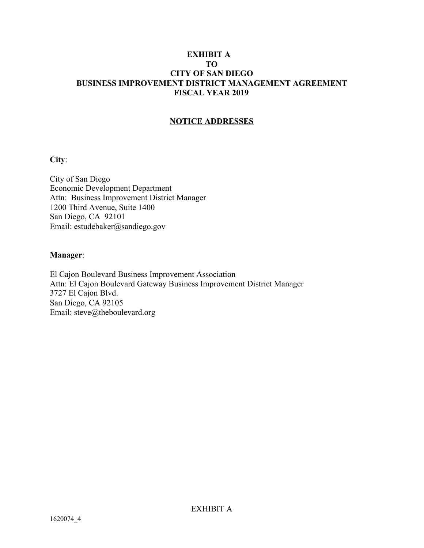## **EXHIBIT A TO CITY OF SAN DIEGO BUSINESS IMPROVEMENT DISTRICT MANAGEMENT AGREEMENT FISCAL YEAR 2019**

# **NOTICE ADDRESSES**

#### **City**:

City of San Diego Economic Development Department Attn: Business Improvement District Manager 1200 Third Avenue, Suite 1400 San Diego, CA 92101 Email: estudebaker@sandiego.gov

## **Manager**:

El Cajon Boulevard Business Improvement Association Attn: El Cajon Boulevard Gateway Business Improvement District Manager 3727 El Cajon Blvd. San Diego, CA 92105 Email: steve@theboulevard.org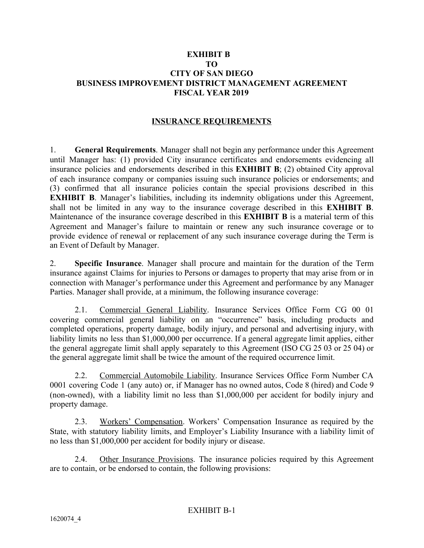## **EXHIBIT B TO CITY OF SAN DIEGO BUSINESS IMPROVEMENT DISTRICT MANAGEMENT AGREEMENT FISCAL YEAR 2019**

# **INSURANCE REQUIREMENTS**

1. **General Requirements**. Manager shall not begin any performance under this Agreement until Manager has: (1) provided City insurance certificates and endorsements evidencing all insurance policies and endorsements described in this **EXHIBIT B**; (2) obtained City approval of each insurance company or companies issuing such insurance policies or endorsements; and (3) confirmed that all insurance policies contain the special provisions described in this **EXHIBIT B.** Manager's liabilities, including its indemnity obligations under this Agreement, shall not be limited in any way to the insurance coverage described in this **EXHIBIT B**. Maintenance of the insurance coverage described in this **EXHIBIT B** is a material term of this Agreement and Manager's failure to maintain or renew any such insurance coverage or to provide evidence of renewal or replacement of any such insurance coverage during the Term is an Event of Default by Manager.

2. **Specific Insurance**. Manager shall procure and maintain for the duration of the Term insurance against Claims for injuries to Persons or damages to property that may arise from or in connection with Manager's performance under this Agreement and performance by any Manager Parties. Manager shall provide, at a minimum, the following insurance coverage:

2.1. Commercial General Liability. Insurance Services Office Form CG 00 01 covering commercial general liability on an "occurrence" basis, including products and completed operations, property damage, bodily injury, and personal and advertising injury, with liability limits no less than \$1,000,000 per occurrence. If a general aggregate limit applies, either the general aggregate limit shall apply separately to this Agreement (ISO CG 25 03 or 25 04) or the general aggregate limit shall be twice the amount of the required occurrence limit.

2.2. Commercial Automobile Liability. Insurance Services Office Form Number CA 0001 covering Code 1 (any auto) or, if Manager has no owned autos, Code 8 (hired) and Code 9 (non-owned), with a liability limit no less than \$1,000,000 per accident for bodily injury and property damage.

2.3. Workers' Compensation. Workers' Compensation Insurance as required by the State, with statutory liability limits, and Employer's Liability Insurance with a liability limit of no less than \$1,000,000 per accident for bodily injury or disease.

2.4. Other Insurance Provisions. The insurance policies required by this Agreement are to contain, or be endorsed to contain, the following provisions: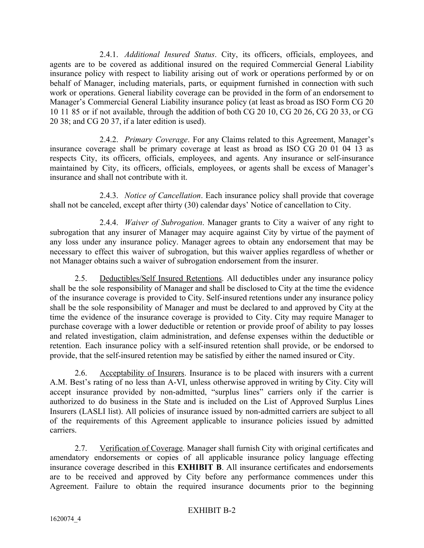2.4.1. *Additional Insured Status*. City, its officers, officials, employees, and agents are to be covered as additional insured on the required Commercial General Liability insurance policy with respect to liability arising out of work or operations performed by or on behalf of Manager, including materials, parts, or equipment furnished in connection with such work or operations. General liability coverage can be provided in the form of an endorsement to Manager's Commercial General Liability insurance policy (at least as broad as ISO Form CG 20 10 11 85 or if not available, through the addition of both CG 20 10, CG 20 26, CG 20 33, or CG 20 38; and CG 20 37, if a later edition is used).

2.4.2. *Primary Coverage*. For any Claims related to this Agreement, Manager's insurance coverage shall be primary coverage at least as broad as ISO CG 20 01 04 13 as respects City, its officers, officials, employees, and agents. Any insurance or self-insurance maintained by City, its officers, officials, employees, or agents shall be excess of Manager's insurance and shall not contribute with it.

2.4.3. *Notice of Cancellation*. Each insurance policy shall provide that coverage shall not be canceled, except after thirty (30) calendar days' Notice of cancellation to City.

2.4.4. *Waiver of Subrogation*. Manager grants to City a waiver of any right to subrogation that any insurer of Manager may acquire against City by virtue of the payment of any loss under any insurance policy. Manager agrees to obtain any endorsement that may be necessary to effect this waiver of subrogation, but this waiver applies regardless of whether or not Manager obtains such a waiver of subrogation endorsement from the insurer.

2.5. Deductibles/Self Insured Retentions. All deductibles under any insurance policy shall be the sole responsibility of Manager and shall be disclosed to City at the time the evidence of the insurance coverage is provided to City. Self-insured retentions under any insurance policy shall be the sole responsibility of Manager and must be declared to and approved by City at the time the evidence of the insurance coverage is provided to City. City may require Manager to purchase coverage with a lower deductible or retention or provide proof of ability to pay losses and related investigation, claim administration, and defense expenses within the deductible or retention. Each insurance policy with a self-insured retention shall provide, or be endorsed to provide, that the self-insured retention may be satisfied by either the named insured or City.

2.6. Acceptability of Insurers. Insurance is to be placed with insurers with a current A.M. Best's rating of no less than A-VI, unless otherwise approved in writing by City. City will accept insurance provided by non-admitted, "surplus lines" carriers only if the carrier is authorized to do business in the State and is included on the List of Approved Surplus Lines Insurers (LASLI list). All policies of insurance issued by non-admitted carriers are subject to all of the requirements of this Agreement applicable to insurance policies issued by admitted carriers.

2.7. Verification of Coverage. Manager shall furnish City with original certificates and amendatory endorsements or copies of all applicable insurance policy language effecting insurance coverage described in this **EXHIBIT B**. All insurance certificates and endorsements are to be received and approved by City before any performance commences under this Agreement. Failure to obtain the required insurance documents prior to the beginning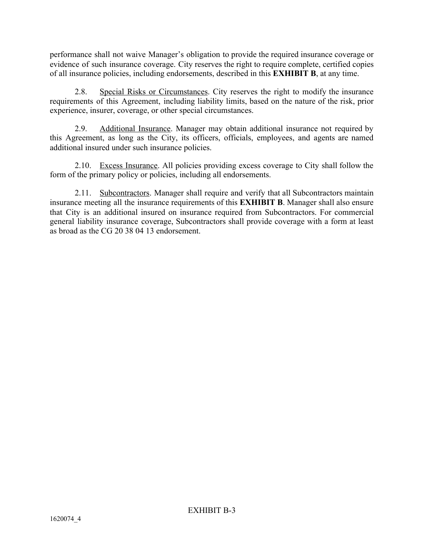performance shall not waive Manager's obligation to provide the required insurance coverage or evidence of such insurance coverage. City reserves the right to require complete, certified copies of all insurance policies, including endorsements, described in this **EXHIBIT B**, at any time.

2.8. Special Risks or Circumstances. City reserves the right to modify the insurance requirements of this Agreement, including liability limits, based on the nature of the risk, prior experience, insurer, coverage, or other special circumstances.

2.9. Additional Insurance. Manager may obtain additional insurance not required by this Agreement, as long as the City, its officers, officials, employees, and agents are named additional insured under such insurance policies.

2.10. Excess Insurance. All policies providing excess coverage to City shall follow the form of the primary policy or policies, including all endorsements.

2.11. Subcontractors. Manager shall require and verify that all Subcontractors maintain insurance meeting all the insurance requirements of this **EXHIBIT B**. Manager shall also ensure that City is an additional insured on insurance required from Subcontractors. For commercial general liability insurance coverage, Subcontractors shall provide coverage with a form at least as broad as the CG 20 38 04 13 endorsement.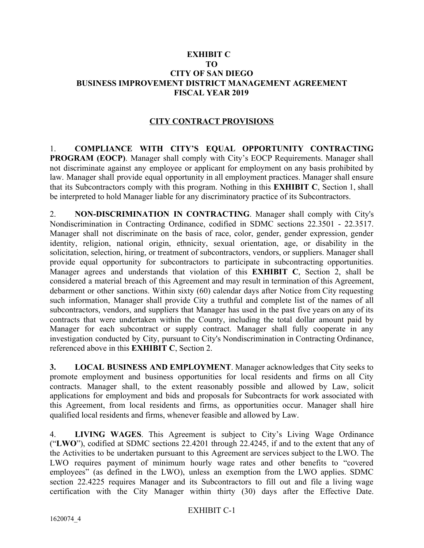## **EXHIBIT C TO CITY OF SAN DIEGO BUSINESS IMPROVEMENT DISTRICT MANAGEMENT AGREEMENT FISCAL YEAR 2019**

# **CITY CONTRACT PROVISIONS**

1. **COMPLIANCE WITH CITY'S EQUAL OPPORTUNITY CONTRACTING PROGRAM (EOCP)**. Manager shall comply with City's EOCP Requirements. Manager shall not discriminate against any employee or applicant for employment on any basis prohibited by law. Manager shall provide equal opportunity in all employment practices. Manager shall ensure that its Subcontractors comply with this program. Nothing in this **EXHIBIT C**, Section 1, shall be interpreted to hold Manager liable for any discriminatory practice of its Subcontractors.

2. **NON-DISCRIMINATION IN CONTRACTING**. Manager shall comply with City's Nondiscrimination in Contracting Ordinance, codified in SDMC sections 22.3501 - 22.3517. Manager shall not discriminate on the basis of race, color, gender, gender expression, gender identity, religion, national origin, ethnicity, sexual orientation, age, or disability in the solicitation, selection, hiring, or treatment of subcontractors, vendors, or suppliers. Manager shall provide equal opportunity for subcontractors to participate in subcontracting opportunities. Manager agrees and understands that violation of this **EXHIBIT C**, Section 2, shall be considered a material breach of this Agreement and may result in termination of this Agreement, debarment or other sanctions. Within sixty (60) calendar days after Notice from City requesting such information, Manager shall provide City a truthful and complete list of the names of all subcontractors, vendors, and suppliers that Manager has used in the past five years on any of its contracts that were undertaken within the County, including the total dollar amount paid by Manager for each subcontract or supply contract. Manager shall fully cooperate in any investigation conducted by City, pursuant to City's Nondiscrimination in Contracting Ordinance, referenced above in this **EXHIBIT C**, Section 2.

**3. LOCAL BUSINESS AND EMPLOYMENT**. Manager acknowledges that City seeks to promote employment and business opportunities for local residents and firms on all City contracts. Manager shall, to the extent reasonably possible and allowed by Law, solicit applications for employment and bids and proposals for Subcontracts for work associated with this Agreement, from local residents and firms, as opportunities occur. Manager shall hire qualified local residents and firms, whenever feasible and allowed by Law.

4. **LIVING WAGES**. This Agreement is subject to City's Living Wage Ordinance ("**LWO**"), codified at SDMC sections 22.4201 through 22.4245, if and to the extent that any of the Activities to be undertaken pursuant to this Agreement are services subject to the LWO. The LWO requires payment of minimum hourly wage rates and other benefits to "covered employees" (as defined in the LWO), unless an exemption from the LWO applies. SDMC section 22.4225 requires Manager and its Subcontractors to fill out and file a living wage certification with the City Manager within thirty (30) days after the Effective Date.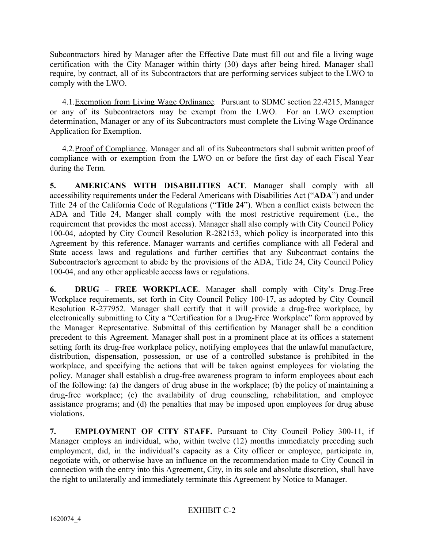Subcontractors hired by Manager after the Effective Date must fill out and file a living wage certification with the City Manager within thirty (30) days after being hired. Manager shall require, by contract, all of its Subcontractors that are performing services subject to the LWO to comply with the LWO.

4.1. Exemption from Living Wage Ordinance. Pursuant to SDMC section 22.4215, Manager or any of its Subcontractors may be exempt from the LWO. For an LWO exemption determination, Manager or any of its Subcontractors must complete the Living Wage Ordinance Application for Exemption.

4.2.Proof of Compliance. Manager and all of its Subcontractors shall submit written proof of compliance with or exemption from the LWO on or before the first day of each Fiscal Year during the Term.

**5. AMERICANS WITH DISABILITIES ACT**. Manager shall comply with all accessibility requirements under the Federal Americans with Disabilities Act ("**ADA**") and under Title 24 of the California Code of Regulations ("**Title 24**"). When a conflict exists between the ADA and Title 24, Manger shall comply with the most restrictive requirement (i.e., the requirement that provides the most access). Manager shall also comply with City Council Policy 100-04, adopted by City Council Resolution R-282153, which policy is incorporated into this Agreement by this reference. Manager warrants and certifies compliance with all Federal and State access laws and regulations and further certifies that any Subcontract contains the Subcontractor's agreement to abide by the provisions of the ADA, Title 24, City Council Policy 100-04, and any other applicable access laws or regulations.

**6. DRUG – FREE WORKPLACE**. Manager shall comply with City's Drug-Free Workplace requirements, set forth in City Council Policy 100-17, as adopted by City Council Resolution R-277952. Manager shall certify that it will provide a drug-free workplace, by electronically submitting to City a "Certification for a Drug-Free Workplace" form approved by the Manager Representative. Submittal of this certification by Manager shall be a condition precedent to this Agreement. Manager shall post in a prominent place at its offices a statement setting forth its drug-free workplace policy, notifying employees that the unlawful manufacture, distribution, dispensation, possession, or use of a controlled substance is prohibited in the workplace, and specifying the actions that will be taken against employees for violating the policy. Manager shall establish a drug-free awareness program to inform employees about each of the following: (a) the dangers of drug abuse in the workplace; (b) the policy of maintaining a drug-free workplace; (c) the availability of drug counseling, rehabilitation, and employee assistance programs; and (d) the penalties that may be imposed upon employees for drug abuse violations.

**7. EMPLOYMENT OF CITY STAFF.** Pursuant to City Council Policy 300-11, if Manager employs an individual, who, within twelve (12) months immediately preceding such employment, did, in the individual's capacity as a City officer or employee, participate in, negotiate with, or otherwise have an influence on the recommendation made to City Council in connection with the entry into this Agreement, City, in its sole and absolute discretion, shall have the right to unilaterally and immediately terminate this Agreement by Notice to Manager.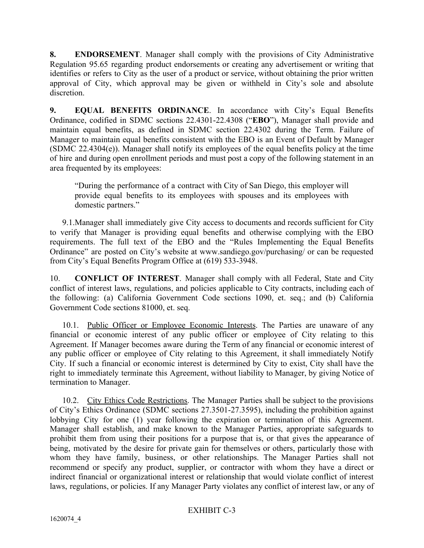**8. ENDORSEMENT**. Manager shall comply with the provisions of City Administrative Regulation 95.65 regarding product endorsements or creating any advertisement or writing that identifies or refers to City as the user of a product or service, without obtaining the prior written approval of City, which approval may be given or withheld in City's sole and absolute discretion.

**9. EQUAL BENEFITS ORDINANCE**. In accordance with City's Equal Benefits Ordinance, codified in SDMC sections 22.4301-22.4308 ("**EBO**"), Manager shall provide and maintain equal benefits, as defined in SDMC section 22.4302 during the Term. Failure of Manager to maintain equal benefits consistent with the EBO is an Event of Default by Manager (SDMC 22.4304(e)). Manager shall notify its employees of the equal benefits policy at the time of hire and during open enrollment periods and must post a copy of the following statement in an area frequented by its employees:

"During the performance of a contract with City of San Diego, this employer will provide equal benefits to its employees with spouses and its employees with domestic partners."

9.1.Manager shall immediately give City access to documents and records sufficient for City to verify that Manager is providing equal benefits and otherwise complying with the EBO requirements. The full text of the EBO and the "Rules Implementing the Equal Benefits Ordinance" are posted on City's website at www.sandiego.gov/purchasing/ or can be requested from City's Equal Benefits Program Office at (619) 533-3948.

10. **CONFLICT OF INTEREST**. Manager shall comply with all Federal, State and City conflict of interest laws, regulations, and policies applicable to City contracts, including each of the following: (a) California Government Code sections 1090, et. seq.; and (b) California Government Code sections 81000, et. seq.

10.1. Public Officer or Employee Economic Interests. The Parties are unaware of any financial or economic interest of any public officer or employee of City relating to this Agreement. If Manager becomes aware during the Term of any financial or economic interest of any public officer or employee of City relating to this Agreement, it shall immediately Notify City. If such a financial or economic interest is determined by City to exist, City shall have the right to immediately terminate this Agreement, without liability to Manager, by giving Notice of termination to Manager.

10.2. City Ethics Code Restrictions. The Manager Parties shall be subject to the provisions of City's Ethics Ordinance (SDMC sections 27.3501-27.3595), including the prohibition against lobbying City for one (1) year following the expiration or termination of this Agreement. Manager shall establish, and make known to the Manager Parties, appropriate safeguards to prohibit them from using their positions for a purpose that is, or that gives the appearance of being, motivated by the desire for private gain for themselves or others, particularly those with whom they have family, business, or other relationships. The Manager Parties shall not recommend or specify any product, supplier, or contractor with whom they have a direct or indirect financial or organizational interest or relationship that would violate conflict of interest laws, regulations, or policies. If any Manager Party violates any conflict of interest law, or any of

# EXHIBIT C-3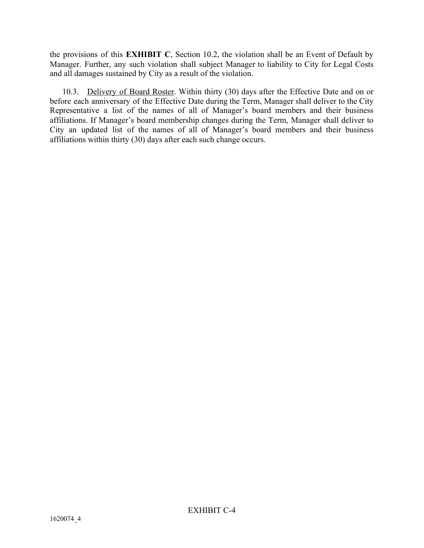the provisions of this **EXHIBIT C**, Section 10.2, the violation shall be an Event of Default by Manager. Further, any such violation shall subject Manager to liability to City for Legal Costs and all damages sustained by City as a result of the violation.

10.3. Delivery of Board Roster. Within thirty (30) days after the Effective Date and on or before each anniversary of the Effective Date during the Term, Manager shall deliver to the City Representative a list of the names of all of Manager's board members and their business affiliations. If Manager's board membership changes during the Term, Manager shall deliver to City an updated list of the names of all of Manager's board members and their business affiliations within thirty (30) days after each such change occurs.

EXHIBIT C-4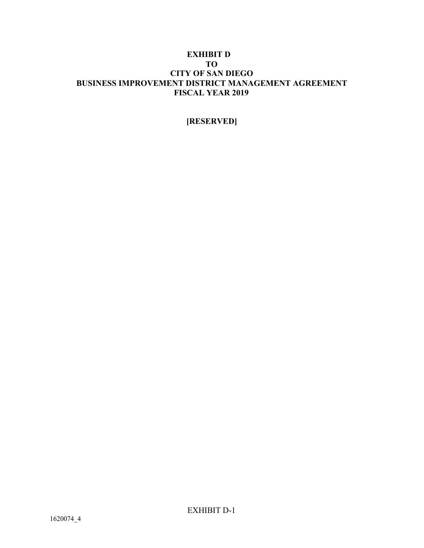## **EXHIBIT D TO CITY OF SAN DIEGO BUSINESS IMPROVEMENT DISTRICT MANAGEMENT AGREEMENT FISCAL YEAR 2019**

# **[RESERVED]**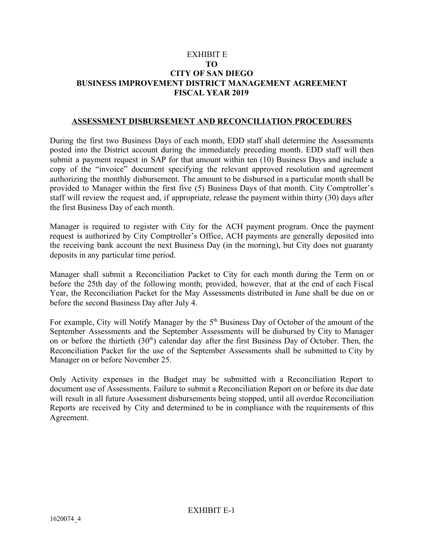## EXHIBIT E **TO CITY OF SAN DIEGO BUSINESS IMPROVEMENT DISTRICT MANAGEMENT AGREEMENT FISCAL YEAR 2019**

#### **ASSESSMENT DISBURSEMENT AND RECONCILIATION PROCEDURES**

During the first two Business Days of each month, EDD staff shall determine the Assessments posted into the District account during the immediately preceding month. EDD staff will then submit a payment request in SAP for that amount within ten (10) Business Days and include a copy of the "invoice" document specifying the relevant approved resolution and agreement authorizing the monthly disbursement. The amount to be disbursed in a particular month shall be provided to Manager within the first five (5) Business Days of that month. City Comptroller's staff will review the request and, if appropriate, release the payment within thirty (30) days after the first Business Day of each month.

Manager is required to register with City for the ACH payment program. Once the payment request is authorized by City Comptroller's Office, ACH payments are generally deposited into the receiving bank account the next Business Day (in the morning), but City does not guaranty deposits in any particular time period.

Manager shall submit a Reconciliation Packet to City for each month during the Term on or before the 25th day of the following month; provided, however, that at the end of each Fiscal Year, the Reconciliation Packet for the May Assessments distributed in June shall be due on or before the second Business Day after July 4.

For example, City will Notify Manager by the 5<sup>th</sup> Business Day of October of the amount of the September Assessments and the September Assessments will be disbursed by City to Manager on or before the thirtieth  $(30<sup>th</sup>)$  calendar day after the first Business Day of October. Then, the Reconciliation Packet for the use of the September Assessments shall be submitted to City by Manager on or before November 25.

Only Activity expenses in the Budget may be submitted with a Reconciliation Report to document use of Assessments. Failure to submit a Reconciliation Report on or before its due date will result in all future Assessment disbursements being stopped, until all overdue Reconciliation Reports are received by City and determined to be in compliance with the requirements of this Agreement.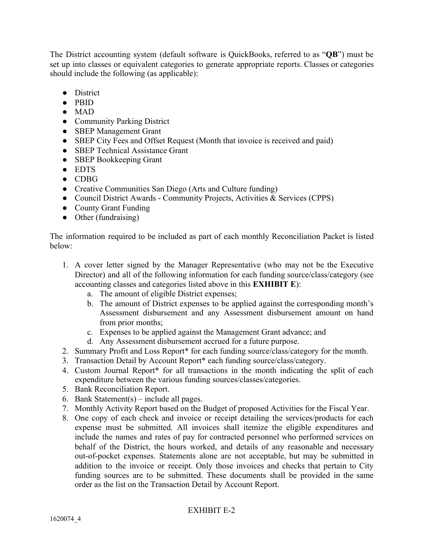The District accounting system (default software is QuickBooks, referred to as "**QB**") must be set up into classes or equivalent categories to generate appropriate reports. Classes or categories should include the following (as applicable):

- District
- PBID
- $\bullet$  MAD
- Community Parking District
- SBEP Management Grant
- SBEP City Fees and Offset Request (Month that invoice is received and paid)
- SBEP Technical Assistance Grant
- SBEP Bookkeeping Grant
- EDTS
- CDBG
- Creative Communities San Diego (Arts and Culture funding)
- Council District Awards Community Projects, Activities & Services (CPPS)
- County Grant Funding
- Other (fundraising)

The information required to be included as part of each monthly Reconciliation Packet is listed below:

- 1. A cover letter signed by the Manager Representative (who may not be the Executive Director) and all of the following information for each funding source/class/category (see accounting classes and categories listed above in this **EXHIBIT E**):
	- a. The amount of eligible District expenses;
	- b. The amount of District expenses to be applied against the corresponding month's Assessment disbursement and any Assessment disbursement amount on hand from prior months;
	- c. Expenses to be applied against the Management Grant advance; and
	- d. Any Assessment disbursement accrued for a future purpose.
- 2. Summary Profit and Loss Report\* for each funding source/class/category for the month.
- 3. Transaction Detail by Account Report\* each funding source/class/category.
- 4. Custom Journal Report\* for all transactions in the month indicating the split of each expenditure between the various funding sources/classes/categories.
- 5. Bank Reconciliation Report.
- 6. Bank Statement(s) include all pages.
- 7. Monthly Activity Report based on the Budget of proposed Activities for the Fiscal Year.
- 8. One copy of each check and invoice or receipt detailing the services/products for each expense must be submitted. All invoices shall itemize the eligible expenditures and include the names and rates of pay for contracted personnel who performed services on behalf of the District, the hours worked, and details of any reasonable and necessary out-of-pocket expenses. Statements alone are not acceptable, but may be submitted in addition to the invoice or receipt. Only those invoices and checks that pertain to City funding sources are to be submitted. These documents shall be provided in the same order as the list on the Transaction Detail by Account Report.

# EXHIBIT E-2